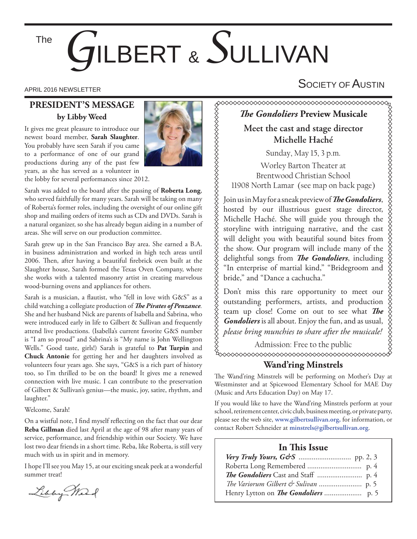The

# *G*ILBERT & *S*ULLIVAN

#### **PRESIDENT'S MESSAGE by Libby Weed**

It gives me great pleasure to introduce our newest board member, **Sarah Slaughter**. You probably have seen Sarah if you came to a performance of one of our grand productions during any of the past few years, as she has served as a volunteer in



Sarah was added to the board after the passing of **Roberta Long**, who served faithfully for many years. Sarah will be taking on many of Roberta's former roles, including the oversight of our online gift shop and mailing orders of items such as CDs and DVDs. Sarah is a natural organizer, so she has already begun aiding in a number of areas. She will serve on our production committee.

Sarah grew up in the San Francisco Bay area. She earned a B.A. in business administration and worked in high tech areas until 2006. Then, after having a beautiful firebrick oven built at the Slaughter house, Sarah formed the Texas Oven Company, where she works with a talented masonry artist in creating marvelous wood-burning ovens and appliances for others.

Sarah is a musician, a flautist, who "fell in love with G&S" as a child watching a collegiate production of *The Pirates of Penzance*. She and her husband Nick are parents of Isabella and Sabrina, who were introduced early in life to Gilbert & Sullivan and frequently attend live productions. (Isabella's current favorite G&S number is "I am so proud" and Sabrina's is "My name is John Wellington Wells." Good taste, girls!) Sarah is grateful to Pat Turpin and **Chuck Antonie** for getting her and her daughters involved as volunteers four years ago. She says, "G&S is a rich part of history too, so I'm thrilled to be on the board! It gives me a renewed connection with live music. I can contribute to the preservation of Gilbert & Sullivan's genius—the music, joy, satire, rhythm, and laughter."

#### Welcome, Sarah!

On a wistful note, I find myself reflecting on the fact that our dear **Reba Gillman** died last April at the age of 98 after many years of service, performance, and friendship within our Society. We have lost two dear friends in a short time. Reba, like Roberta, is still very much with us in spirit and in memory.

I hope I'll see you May 15, at our exciting sneak peek at a wonderful summer treat!

Libby Mar



## APRIL 2016 NEWSLETTER  $\mathsf{S}$ OCIETY OF  $\mathsf{A}$ USTIN

## **The Gondoliers Preview Musicale**

**Meet the cast and stage director Michelle Haché**

Sunday, May 15, 3 p.m.

Worley Barton Theater at Brentwood Christian School 11908 North Lamar (see map on back page)

Join us in May for a sneak preview of *The Gondoliers*, hosted by our illustrious guest stage director, Michelle Haché. She will guide you through the storyline with intriguing narrative, and the cast will delight you with beautiful sound bites from the show. Our program will include many of the delightful songs from *The Gondoliers*, including "In enterprise of martial kind," "Bridegroom and bride," and "Dance a cachucha."

Don't miss this rare opportunity to meet our outstanding performers, artists, and production team up close! Come on out to see what *The Gondoliers* is all about. Enjoy the fun, and as usual, *please bring munchies to share after the musicale!*

Admission: Free to the public

#### **Wand'ring Minstrels**

The Wand'ring Minstrels will be performing on Mother's Day at Westminster and at Spicewood Elementary School for MAE Day (Music and Arts Education Day) on May 17.

If you would like to have the Wand'ring Minstrels perform at your school, retirement center, civic club, business meeting, or private party, please see the web site, **www.gilbertsullivan.org,** for information, or contact Robert Schneider at **minstrels@gilbertsullivan.org**.

#### **In This Issue**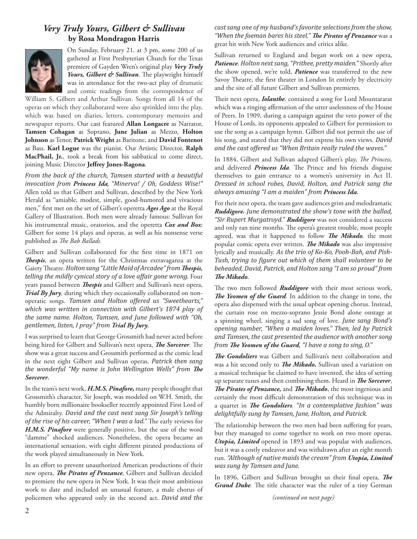#### *Very Truly Yours, Gilbert & Sullivan* **by Rosa Mondragon Harris**



On Sunday, February 21, at 3 pm, some 200 of us gathered at First Presbyterian Church for the Texas premiere of Gayden Wren's original play *Very Truly*  Yours, Gilbert & Sullivan. The playwright himself was in attendance for the two-act play of dramatic and comic readings from the correspondence of

William S. Gilbert and Arthur Sullivan. Songs from all 14 of the operas on which they collaborated were also sprinkled into the play, which was based on diaries, letters, contemporary memoirs and newspaper reports. Our cast featured **Allan Longacre** as Narrator, **Tamsen Cohagan** as Soprano, **June Julian** as Mezzo, **Holton Johnson** as Tenor, **Patrick Wright** as Baritone, and **David Fontenot** as Bass. **Karl Logue** was the pianist. Our Artistic Director, **Ralph MacPhail, Jr.**, took a break from his sabbatical to come direct, joining Music Director **Jeffrey Jones-Ragona**.

*From the back of the church, Tamsen started with a beautiful invocation from Princess Ida, "Minerva! / Oh, Goddess Wise!"* Allen told us that Gilbert and Sullivan, described by the New York Herald as "amiable, modest, simple, good-humored and vivacious men," first met on the set of Gilbert's operetta *Ages Ago* at the Royal Gallery of Illustration. Both men were already famous: Sullivan for his instrumental music, oratorios, and the operetta *Cox and Box;* Gilbert for some 14 plays and operas, as well as his nonsense verse published as *The Bab Ballads*.

Gilbert and Sullivan collaborated for the first time in 1871 on **Thespis**, an opera written for the Christmas extravaganza at the Gaiety Theatre. *Holton sang* "Little Maid of Arcadee" from Thespis, *telling the mildly cynical story of a love affair gone wrong.* Four years passed between *Thespis* and Gilbert and Sullivan's next opera, *Trial By Jury,* during which they occasionally collaborated on nonoperatic songs. *Tamsen and Holton offered us "Sweethearts," which was written in connection with Gilbert's 1874 play of the same name. Holton, Tamsen, and June followed with "Oh, gentlemen, listen, I pray" from Trial By Jury*.

I was surprised to learn that George Grossmith had never acted before being hired for Gilbert and Sullivan's next opera, *The Sorcerer*. The show was a great success and Grossmith performed as the comic lead in the next eight Gilbert and Sullivan operas. *Patrick then sang the wonderful "My name is John Wellington Wells" from The Sorcerer.*

In the team's next work, *H.M.S. Pinafore,* many people thought that Grossmith's character, Sir Joseph, was modeled on W.H. Smith, the humbly born millionaire bookseller recently appointed First Lord of the Admiralty. *David and the cast next sang Sir Joseph's telling of the rise of his career, "When I was a lad."* The early reviews for H.M.S. Pinafore were generally positive, but the use of the word "damme" shocked audiences. Nonetheless, the opera became an international sensation, with eight different pirated productions of the work played simultaneously in New York.

In an effort to prevent unauthorized American productions of their new opera, *The Pirates of Penzance*, Gilbert and Sullivan decided to premiere the new opera in New York. It was their most ambitious work to date and included an unusual feature, a male chorus of policemen who appeared only in the second act. *David and the*  *cast sang one of my husband's favorite selections from the show,*  "When the foeman bares his steel." **The Pirates of Penzance** was a great hit with New York audiences and critics alike.

Sullivan returned to England and began work on a new opera, *Patience*. *Holton next sang, "Prithee, pretty maiden."* Shortly after the show opened, we're told, *Patience* was transferred to the new Savoy Theatre, the first theater in London lit entirely by electricity and the site of all future Gilbert and Sullivan premieres.

Their next opera, *Iolanthe*, contained a song for Lord Mountararat which was a ringing affirmation of the utter uselessness of the House of Peers. In 1909, during a campaign against the veto power of the House of Lords, its opponents appealed to Gilbert for permission to use the song as a campaign hymn. Gilbert did not permit the use of his song, and stated that they did not express his own views. *David and the cast offered us "When Britain really ruled the waves."* 

In 1884, Gilbert and Sullivan adapted Gilbert's play, *The Princess*, and delivered *Princess Ida*. The Prince and his friends disguise themselves to gain entrance to a women's university in Act II. *Dressed in school robes, David, Holton, and Patrick sang the always amusing "I am a maiden" from Princess Ida.*

For their next opera, the team gave audiences grim and melodramatic *Ruddigore. June demonstrated the show's tone with the ballad, "Sir Rupert Murgatroyd." Ruddigore* was not considered a success and only ran nine months. The opera's greatest trouble, most people agreed, was that it happened to follow *The Mikado*, the most popular comic opera ever written. **The Mikado** was also impressive lyrically and musically. *As the trio of Ko-Ko, Pooh-Bah, and Pish-Tush, trying to ϔigure out which of them shall volunteer to be beheaded, David, Patrick, and Holton sang "I am so proud" from*   $The Mikado.$ 

The two men followed *Ruddigore* with their most serious work, The Yeomen of the Guard. In addition to the change in tone, the opera also dispensed with the usual upbeat opening chorus. Instead, the curtain rose on mezzo-soprano Jessie Bond alone onstage at a spinning wheel, singing a sad song of love. *June sang Bond's opening number, "When a maiden loves." Then, led by Patrick and Tamsen, the cast presented the audience with another song from The Yeomen of the Guard*, "I have a song to sing, O."

**The Gondoliers** was Gilbert and Sullivan's next collaboration and was a hit second only to *The Mikado*. Sullivan used a variation on a musical technique he claimed to have invented, the idea of setting up separate tunes and then combining them. Heard in *The Sorcerer*, The Pirates of Penzance, and The Mikado, the most ingenious and certainly the most difficult demonstration of this technique was in a quartet in *The Gondoliers*. "In a contemplative fashion" was *delightfully sung by Tamsen, June, Holton, and Patrick.*

The relationship between the two men had been suffering for years, but they managed to come together to work on two more operas. *Utopia, Limited* opened in 1893 and was popular with audiences, but it was a costly endeavor and was withdrawn after an eight month run. *"Although of native maids the cream" from Utopia, Limited was sung by Tamsen and June.*

In 1896, Gilbert and Sullivan brought us their final opera, The Grand Duke. The title character was the ruler of a tiny German

*(continued on next page)*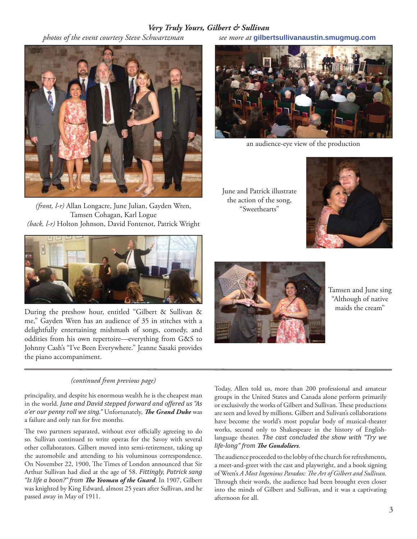#### *Very Truly Yours, Gilbert & Sullivan*



*(front, l-r)* Allan Longacre, June Julian, Gayden Wren, Tamsen Cohagan, Karl Logue *(back, l-r)* Holton Johnson, David Fontenot, Patrick Wright



me," Gayden Wren has an audience of 35 in stitches with a delightfully entertaining mishmash of songs, comedy, and oddities from his own repertoire—everything from G&S to Johnny Cash's "I've Been Everywhere." Jeanne Sasaki provides the piano accompaniment.

#### *(continued from previous page)*

principality, and despite his enormous wealth he is the cheapest man in the world. *June and David stepped forward and offered us "As*  o'er our penny roll we sing." Unfortunately, The Grand Duke was a failure and only ran for five months.

The two partners separated, without ever officially agreeing to do so. Sullivan continued to write operas for the Savoy with several other collaborators. Gilbert moved into semi-retirement, taking up the automobile and attending to his voluminous correspondence. On November 22, 1900, The Times of London announced that Sir Arthur Sullivan had died at the age of 58. *Fittingly, Patrick sang*  "Is life a boon?" from The Yeoman of the Guard. In 1907, Gilbert was knighted by King Edward, almost 25 years after Sullivan, and he passed away in May of 1911.

 *photos of the event courtesy Steve Schwartzman see more at* **gilbertsullivanaustin.smugmug.com**



an audience-eye view of the production

June and Patrick illustrate the action of the song, "Sweethearts"





Tamsen and June sing "Although of native

Today, Allen told us, more than 200 professional and amateur groups in the United States and Canada alone perform primarily or exclusively the works of Gilbert and Sullivan. These productions are seen and loved by millions. Gilbert and Sulivan's collaborations have become the world's most popular body of musical-theater works, second only to Shakespeare in the history of Englishlanguage theater. *The cast concluded the show with "Try we life-long" from The Gondoliers.* 

The audience proceeded to the lobby of the church for refreshments, a meet-and-greet with the cast and playwright, and a book signing of Wren's A Most Ingenious Paradox: The Art of Gilbert and Sullivan. Through their words, the audience had been brought even closer into the minds of Gilbert and Sullivan, and it was a captivating afternoon for all.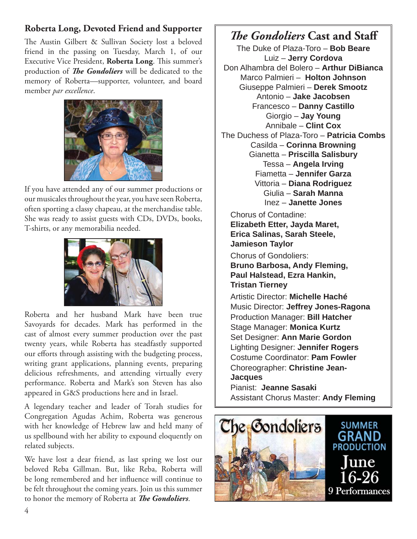### **Roberta Long, Devoted Friend and Supporter**

The Austin Gilbert & Sullivan Society lost a beloved friend in the passing on Tuesday, March 1, of our Executive Vice President, **Roberta Long**. This summer's production of *The Gondoliers* will be dedicated to the memory of Roberta—supporter, volunteer, and board member *par excellence*.



If you have attended any of our summer productions or our musicales throughout the year, you have seen Roberta, often sporting a classy chapeau, at the merchandise table. She was ready to assist guests with CDs, DVDs, books, T-shirts, or any memorabilia needed.



Roberta and her husband Mark have been true Savoyards for decades. Mark has performed in the cast of almost every summer production over the past twenty years, while Roberta has steadfastly supported our efforts through assisting with the budgeting process, writing grant applications, planning events, preparing delicious refreshments, and attending virtually every performance. Roberta and Mark's son Steven has also appeared in G&S productions here and in Israel.

A legendary teacher and leader of Torah studies for Congregation Agudas Achim, Roberta was generous with her knowledge of Hebrew law and held many of us spellbound with her ability to expound eloquently on related subjects.

We have lost a dear friend, as last spring we lost our beloved Reba Gillman. But, like Reba, Roberta will be long remembered and her influence will continue to be felt throughout the coming years. Join us this summer to honor the memory of Roberta at *The Gondoliers*.

## *The Gondoliers* Cast and Staff

The Duke of Plaza-Toro – **Bob Beare** Luiz – **Jerry Cordova** Don Alhambra del Bolero – **Arthur DiBianca** Marco Palmieri – **Holton Johnson** Giuseppe Palmieri – **Derek Smootz** Antonio – **Jake Jacobsen** Francesco – **Danny Castillo** Giorgio – **Jay Young** Annibale – **Clint Cox** The Duchess of Plaza-Toro – **Patricia Combs** Casilda – **Corinna Browning** Gianetta – **Priscilla Salisbury** Tessa – **Angela Irving** Fiametta – **Jennifer Garza** Vittoria – **Diana Rodriguez** Giulia – **Sarah Manna** Inez – **Janette Jones**

Chorus of Contadine: **Elizabeth Etter, Jayda Maret, Erica Salinas, Sarah Steele, Jamieson Taylor**

Chorus of Gondoliers: **Bruno Barbosa, Andy Fleming, Paul Halstead, Ezra Hankin, Tristan Tierney**

Artistic Director: **Michelle Haché** Music Director: **Jeffrey Jones-Ragona** Production Manager: **Bill Hatcher** Stage Manager: **Monica Kurtz** Set Designer: **Ann Marie Gordon** Lighting Designer: **Jennifer Rogers** Costume Coordinator: **Pam Fowler** Choreographer: **Christine Jean-Jacques**

Pianist: **Jeanne Sasaki** Assistant Chorus Master: **Andy Fleming**

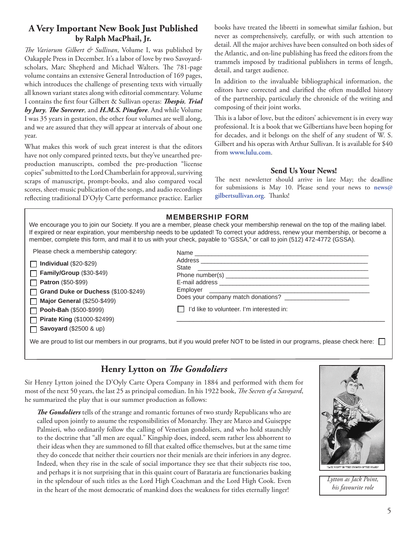#### **A Very Important New Book Just Published by Ralph MacPhail, Jr.**

*The Variorum Gilbert & Sullivan*, Volume I, was published by Oakapple Press in December. It's a labor of love by two Savoyardscholars, Marc Shepherd and Michael Walters. The 781-page volume contains an extensive General Introduction of 169 pages, which introduces the challenge of presenting texts with virtually all known variant states along with editorial commentary. Volume I contains the first four Gilbert & Sullivan operas: *Thespis, Trial by Jury*, *The Sorcerer*, and *H.M.S. Pinafore*. And while Volume I was 35 years in gestation, the other four volumes are well along, and we are assured that they will appear at intervals of about one year.

What makes this work of such great interest is that the editors have not only compared printed texts, but they've unearthed preproduction manuscripts, combed the pre-production "license copies" submitted to the Lord Chamberlain for approval, surviving scraps of manuscript, prompt-books, and also compared vocal scores, sheet-music publication of the songs, and audio recordings reflecting traditional D'Oyly Carte performance practice. Earlier

books have treated the libretti in somewhat similar fashion, but never as comprehensively, carefully, or with such attention to detail. All the major archives have been consulted on both sides of the Atlantic, and on-line publishing has freed the editors from the trammels imposed by traditional publishers in terms of length, detail, and target audience.

In addition to the invaluable bibliographical information, the editors have corrected and clarified the often muddled history of the partnership, particularly the chronicle of the writing and composing of their joint works.

This is a labor of love, but the editors' achievement is in every way professional. It is a book that we Gilbertians have been hoping for for decades, and it belongs on the shelf of any student of W. S. Gilbert and his operas with Arthur Sullivan. It is available for \$40 from **www.lulu.com**.

#### **Send Us Your News!**

The next newsletter should arrive in late May; the deadline for submissions is May 10. Please send your news to **news@** gilbertsullivan.org. Thanks!

|                                     | <b>MEMBERSHIP FORM</b>                                                                                                                                                                                                                                                                                                                                                                          |
|-------------------------------------|-------------------------------------------------------------------------------------------------------------------------------------------------------------------------------------------------------------------------------------------------------------------------------------------------------------------------------------------------------------------------------------------------|
|                                     | We encourage you to join our Society. If you are a member, please check your membership renewal on the top of the mailing label.<br>If expired or near expiration, your membership needs to be updated! To correct your address, renew your membership, or become a<br>member, complete this form, and mail it to us with your check, payable to "GSSA," or call to join (512) 472-4772 (GSSA). |
| Please check a membership category: |                                                                                                                                                                                                                                                                                                                                                                                                 |
| $\Box$ Individual (\$20-\$29)       |                                                                                                                                                                                                                                                                                                                                                                                                 |
| $\Box$ Family/Group (\$30-\$49)     |                                                                                                                                                                                                                                                                                                                                                                                                 |
| $\Box$ Patron (\$50-\$99)           |                                                                                                                                                                                                                                                                                                                                                                                                 |
| Grand Duke or Duchess (\$100-\$249) | Does your company match donations? _____________________                                                                                                                                                                                                                                                                                                                                        |
| $\Box$ Major General (\$250-\$499)  |                                                                                                                                                                                                                                                                                                                                                                                                 |
| $\Box$ Pooh-Bah (\$500-\$999)       | I'd like to volunteer. I'm interested in:                                                                                                                                                                                                                                                                                                                                                       |
| <b>Pirate King (\$1000-\$2499)</b>  |                                                                                                                                                                                                                                                                                                                                                                                                 |
| $\Box$ Savoyard (\$2500 & up)       |                                                                                                                                                                                                                                                                                                                                                                                                 |
|                                     | We are proud to list our members in our programs, but if you would prefer NOT to be listed in our programs, please check here:                                                                                                                                                                                                                                                                  |

#### **Henry Lytton on** *The Gondoliers*

Sir Henry Lytton joined the D'Oyly Carte Opera Company in 1884 and performed with them for most of the next 50 years, the last 25 as principal comedian. In his 1922 book, *The Secrets of a Savoyard*, he summarized the play that is our summer production as follows:

**The Gondoliers** tells of the strange and romantic fortunes of two sturdy Republicans who are called upon jointly to assume the responsibilities of Monarchy. They are Marco and Guiseppe Palmieri, who ordinarily follow the calling of Venetian gondoliers, and who hold staunchly to the doctrine that "all men are equal." Kingship does, indeed, seem rather less abhorrent to their ideas when they are summoned to fill that exalted office themselves, but at the same time they do concede that neither their courtiers nor their menials are their inferiors in any degree. Indeed, when they rise in the scale of social importance they see that their subjects rise too, and perhaps it is not surprising that in this quaint court of Barataria are functionaries basking in the splendour of such titles as the Lord High Coachman and the Lord High Cook. Even in the heart of the most democratic of mankind does the weakness for titles eternally linger!



*Lytton as Jack Point, his favourite role*